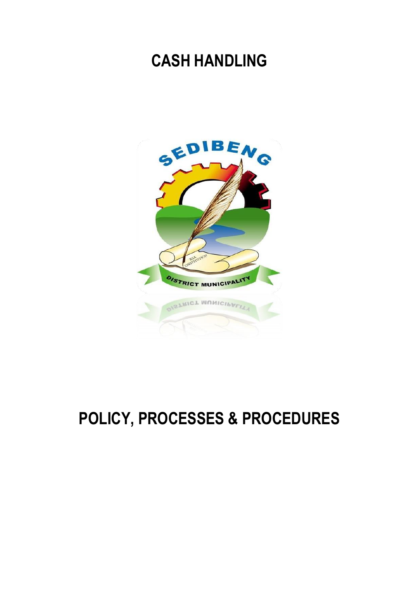# **CASH HANDLING**



# **POLICY, PROCESSES & PROCEDURES**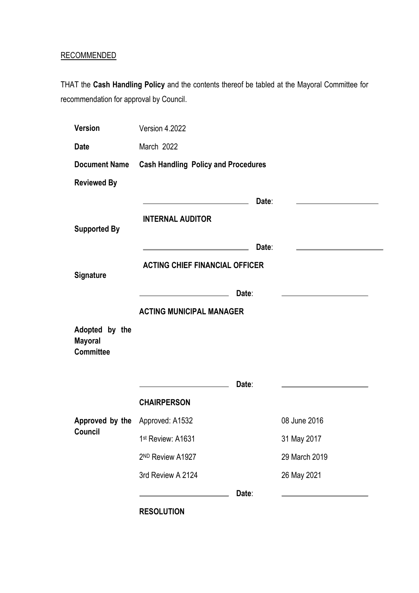# RECOMMENDED

THAT the **Cash Handling Policy** and the contents thereof be tabled at the Mayoral Committee for recommendation for approval by Council.

| <b>Version</b>                                       | Version 4.2022                                                             |       |               |  |
|------------------------------------------------------|----------------------------------------------------------------------------|-------|---------------|--|
| <b>Date</b>                                          | March 2022                                                                 |       |               |  |
| <b>Document Name</b>                                 | <b>Cash Handling Policy and Procedures</b>                                 |       |               |  |
| <b>Reviewed By</b>                                   |                                                                            |       |               |  |
|                                                      | the control of the control of the control of the control of the control of | Date: |               |  |
|                                                      | <b>INTERNAL AUDITOR</b>                                                    |       |               |  |
| <b>Supported By</b>                                  |                                                                            |       |               |  |
|                                                      |                                                                            | Date: |               |  |
| <b>Signature</b>                                     | <b>ACTING CHIEF FINANCIAL OFFICER</b>                                      |       |               |  |
|                                                      | <u> 1989 - Johann Barn, amerikansk politiker (</u>                         | Date: |               |  |
|                                                      | <b>ACTING MUNICIPAL MANAGER</b>                                            |       |               |  |
| Adopted by the<br><b>Mayoral</b><br><b>Committee</b> |                                                                            |       |               |  |
|                                                      |                                                                            | Date: |               |  |
|                                                      | <b>CHAIRPERSON</b>                                                         |       |               |  |
| Approved by the Approved: A1532                      |                                                                            |       | 08 June 2016  |  |
| <b>Council</b>                                       | 1st Review: A1631                                                          |       | 31 May 2017   |  |
|                                                      | 2 <sup>ND</sup> Review A1927                                               |       | 29 March 2019 |  |
|                                                      | 3rd Review A 2124                                                          |       | 26 May 2021   |  |
|                                                      |                                                                            | Date: |               |  |
|                                                      | <b>RESOLUTION</b>                                                          |       |               |  |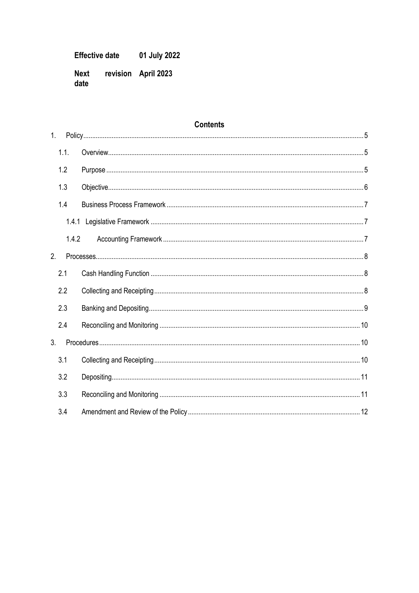#### **Effective date** 01 July 2022

revision April 2023 **Next** date

# **Contents**

| 1. |       |  |
|----|-------|--|
|    | 1.1.  |  |
|    | 1.2   |  |
|    | 1.3   |  |
|    | 1.4   |  |
|    |       |  |
|    | 1.4.2 |  |
| 2. |       |  |
|    | 2.1   |  |
|    | 2.2   |  |
|    | 2.3   |  |
|    | 2.4   |  |
| 3. |       |  |
|    | 3.1   |  |
|    | 3.2   |  |
|    | 3.3   |  |
|    | 3.4   |  |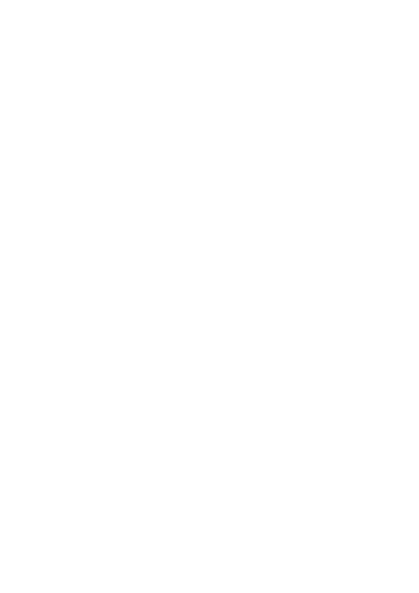<span id="page-3-0"></span>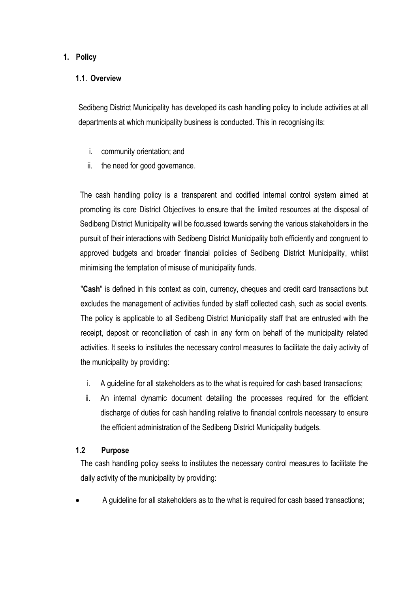#### <span id="page-4-0"></span>**1. Policy**

#### **1.1. Overview**

Sedibeng District Municipality has developed its cash handling policy to include activities at all departments at which municipality business is conducted. This in recognising its:

- i. community orientation; and
- ii. the need for good governance.

The cash handling policy is a transparent and codified internal control system aimed at promoting its core District Objectives to ensure that the limited resources at the disposal of Sedibeng District Municipality will be focussed towards serving the various stakeholders in the pursuit of their interactions with Sedibeng District Municipality both efficiently and congruent to approved budgets and broader financial policies of Sedibeng District Municipality, whilst minimising the temptation of misuse of municipality funds.

"**Cash**" is defined in this context as coin, currency, cheques and credit card transactions but excludes the management of activities funded by staff collected cash, such as social events. The policy is applicable to all Sedibeng District Municipality staff that are entrusted with the receipt, deposit or reconciliation of cash in any form on behalf of the municipality related activities. It seeks to institutes the necessary control measures to facilitate the daily activity of the municipality by providing:

- i. A guideline for all stakeholders as to the what is required for cash based transactions;
- ii. An internal dynamic document detailing the processes required for the efficient discharge of duties for cash handling relative to financial controls necessary to ensure the efficient administration of the Sedibeng District Municipality budgets.

#### <span id="page-4-1"></span>**1.2 Purpose**

The cash handling policy seeks to institutes the necessary control measures to facilitate the daily activity of the municipality by providing:

A guideline for all stakeholders as to the what is required for cash based transactions;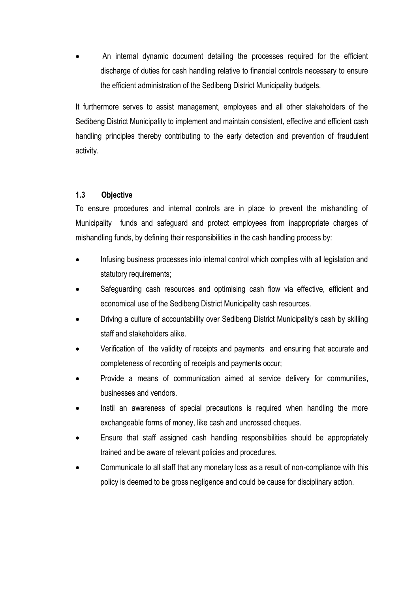An internal dynamic document detailing the processes required for the efficient discharge of duties for cash handling relative to financial controls necessary to ensure the efficient administration of the Sedibeng District Municipality budgets.

It furthermore serves to assist management, employees and all other stakeholders of the Sedibeng District Municipality to implement and maintain consistent, effective and efficient cash handling principles thereby contributing to the early detection and prevention of fraudulent activity.

#### <span id="page-5-0"></span>**1.3 Objective**

To ensure procedures and internal controls are in place to prevent the mishandling of Municipality funds and safeguard and protect employees from inappropriate charges of mishandling funds, by defining their responsibilities in the cash handling process by:

- Infusing business processes into internal control which complies with all legislation and statutory requirements;
- Safeguarding cash resources and optimising cash flow via effective, efficient and economical use of the Sedibeng District Municipality cash resources.
- Driving a culture of accountability over Sedibeng District Municipality's cash by skilling staff and stakeholders alike.
- Verification of the validity of receipts and payments and ensuring that accurate and completeness of recording of receipts and payments occur;
- Provide a means of communication aimed at service delivery for communities, businesses and vendors.
- Instil an awareness of special precautions is required when handling the more exchangeable forms of money, like cash and uncrossed cheques.
- Ensure that staff assigned cash handling responsibilities should be appropriately trained and be aware of relevant policies and procedures.
- Communicate to all staff that any monetary loss as a result of non-compliance with this policy is deemed to be gross negligence and could be cause for disciplinary action.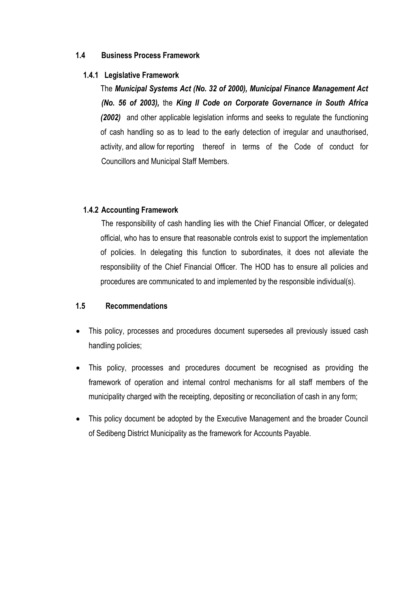#### <span id="page-6-1"></span><span id="page-6-0"></span>**1.4 Business Process Framework**

#### **1.4.1 Legislative Framework**

The *Municipal Systems Act (No. 32 of 2000), Municipal Finance Management Act (No. 56 of 2003),* the *King II Code on Corporate Governance in South Africa (2002)* and other applicable legislation informs and seeks to regulate the functioning of cash handling so as to lead to the early detection of irregular and unauthorised, activity, and allow for reporting thereof in terms of the Code of conduct for Councillors and Municipal Staff Members.

#### <span id="page-6-2"></span>**1.4.2 Accounting Framework**

The responsibility of cash handling lies with the Chief Financial Officer, or delegated official, who has to ensure that reasonable controls exist to support the implementation of policies. In delegating this function to subordinates, it does not alleviate the responsibility of the Chief Financial Officer. The HOD has to ensure all policies and procedures are communicated to and implemented by the responsible individual(s).

#### **1.5 Recommendations**

- This policy, processes and procedures document supersedes all previously issued cash handling policies;
- This policy, processes and procedures document be recognised as providing the framework of operation and internal control mechanisms for all staff members of the municipality charged with the receipting, depositing or reconciliation of cash in any form;
- <span id="page-6-3"></span> This policy document be adopted by the Executive Management and the broader Council of Sedibeng District Municipality as the framework for Accounts Payable.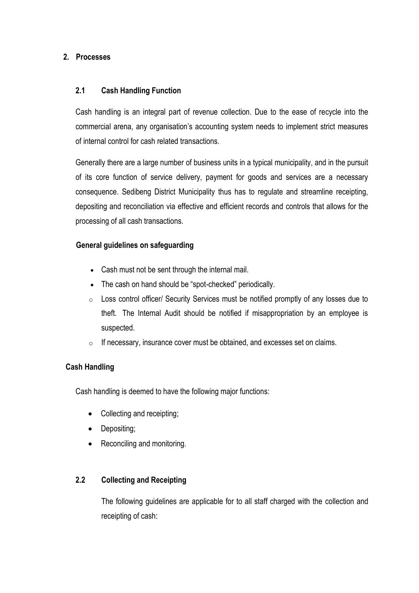#### **2. Processes**

#### <span id="page-7-0"></span>**2.1 Cash Handling Function**

Cash handling is an integral part of revenue collection. Due to the ease of recycle into the commercial arena, any organisation's accounting system needs to implement strict measures of internal control for cash related transactions.

Generally there are a large number of business units in a typical municipality, and in the pursuit of its core function of service delivery, payment for goods and services are a necessary consequence. Sedibeng District Municipality thus has to regulate and streamline receipting, depositing and reconciliation via effective and efficient records and controls that allows for the processing of all cash transactions.

#### **General guidelines on safeguarding**

- Cash must not be sent through the internal mail.
- The cash on hand should be "spot-checked" periodically.
- o Loss control officer/ Security Services must be notified promptly of any losses due to theft. The Internal Audit should be notified if misappropriation by an employee is suspected.
- o If necessary, insurance cover must be obtained, and excesses set on claims.

#### **Cash Handling**

Cash handling is deemed to have the following major functions:

- Collecting and receipting;
- Depositing;
- Reconciling and monitoring.

#### <span id="page-7-1"></span>**2.2 Collecting and Receipting**

The following guidelines are applicable for to all staff charged with the collection and receipting of cash: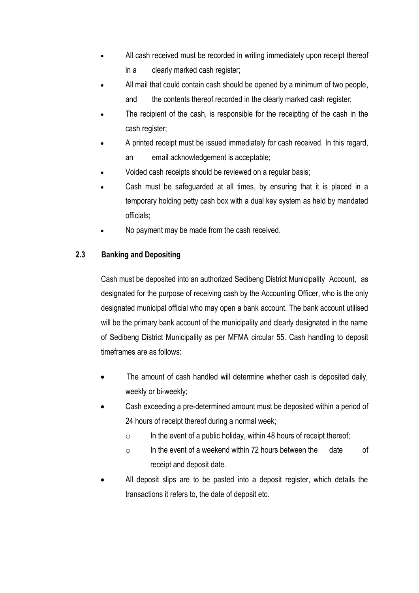- All cash received must be recorded in writing immediately upon receipt thereof in a clearly marked cash register;
- All mail that could contain cash should be opened by a minimum of two people, and the contents thereof recorded in the clearly marked cash register;
- The recipient of the cash, is responsible for the receipting of the cash in the cash register;
- A printed receipt must be issued immediately for cash received. In this regard, an email acknowledgement is acceptable;
- Voided cash receipts should be reviewed on a regular basis;
- Cash must be safeguarded at all times, by ensuring that it is placed in a temporary holding petty cash box with a dual key system as held by mandated officials;
- No payment may be made from the cash received.

# <span id="page-8-0"></span>**2.3 Banking and Depositing**

Cash must be deposited into an authorized Sedibeng District Municipality Account, as designated for the purpose of receiving cash by the Accounting Officer, who is the only designated municipal official who may open a bank account. The bank account utilised will be the primary bank account of the municipality and clearly designated in the name of Sedibeng District Municipality as per MFMA circular 55. Cash handling to deposit timeframes are as follows:

- The amount of cash handled will determine whether cash is deposited daily, weekly or bi-weekly;
- Cash exceeding a pre-determined amount must be deposited within a period of 24 hours of receipt thereof during a normal week;
	- $\circ$  In the event of a public holiday, within 48 hours of receipt thereof:
	- $\circ$  In the event of a weekend within 72 hours between the date of receipt and deposit date.
- All deposit slips are to be pasted into a deposit register, which details the transactions it refers to, the date of deposit etc.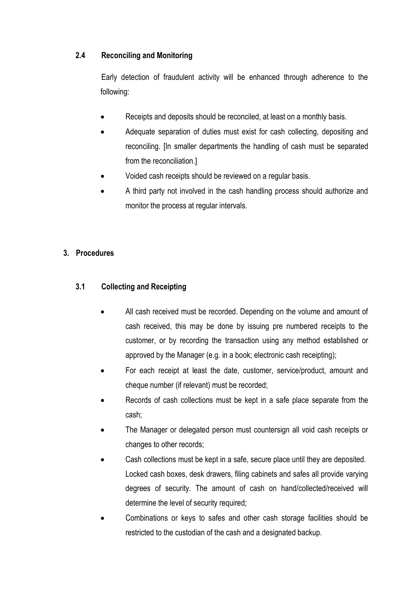# <span id="page-9-0"></span>**2.4 Reconciling and Monitoring**

Early detection of fraudulent activity will be enhanced through adherence to the following:

- Receipts and deposits should be reconciled, at least on a monthly basis.
- Adequate separation of duties must exist for cash collecting, depositing and reconciling. [In smaller departments the handling of cash must be separated from the reconciliation.]
- Voided cash receipts should be reviewed on a regular basis.
- A third party not involved in the cash handling process should authorize and monitor the process at regular intervals.

### <span id="page-9-1"></span>**3. Procedures**

# <span id="page-9-2"></span>**3.1 Collecting and Receipting**

- All cash received must be recorded. Depending on the volume and amount of cash received, this may be done by issuing pre numbered receipts to the customer, or by recording the transaction using any method established or approved by the Manager (e.g. in a book; electronic cash receipting);
- For each receipt at least the date, customer, service/product, amount and cheque number (if relevant) must be recorded;
- Records of cash collections must be kept in a safe place separate from the cash;
- The Manager or delegated person must countersign all void cash receipts or changes to other records;
- Cash collections must be kept in a safe, secure place until they are deposited. Locked cash boxes, desk drawers, filing cabinets and safes all provide varying degrees of security. The amount of cash on hand/collected/received will determine the level of security required;
- Combinations or keys to safes and other cash storage facilities should be restricted to the custodian of the cash and a designated backup.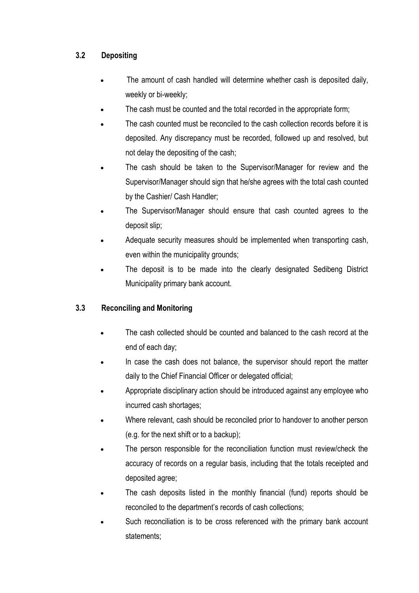# <span id="page-10-0"></span>**3.2 Depositing**

- The amount of cash handled will determine whether cash is deposited daily, weekly or bi-weekly;
- The cash must be counted and the total recorded in the appropriate form;
- The cash counted must be reconciled to the cash collection records before it is deposited. Any discrepancy must be recorded, followed up and resolved, but not delay the depositing of the cash;
- The cash should be taken to the Supervisor/Manager for review and the Supervisor/Manager should sign that he/she agrees with the total cash counted by the Cashier/ Cash Handler;
- The Supervisor/Manager should ensure that cash counted agrees to the deposit slip;
- Adequate security measures should be implemented when transporting cash, even within the municipality grounds;
- The deposit is to be made into the clearly designated Sedibeng District Municipality primary bank account.

# <span id="page-10-1"></span>**3.3 Reconciling and Monitoring**

- The cash collected should be counted and balanced to the cash record at the end of each day;
- In case the cash does not balance, the supervisor should report the matter daily to the Chief Financial Officer or delegated official;
- Appropriate disciplinary action should be introduced against any employee who incurred cash shortages;
- Where relevant, cash should be reconciled prior to handover to another person (e.g. for the next shift or to a backup);
- The person responsible for the reconciliation function must review/check the accuracy of records on a regular basis, including that the totals receipted and deposited agree;
- The cash deposits listed in the monthly financial (fund) reports should be reconciled to the department's records of cash collections;
- Such reconciliation is to be cross referenced with the primary bank account statements;